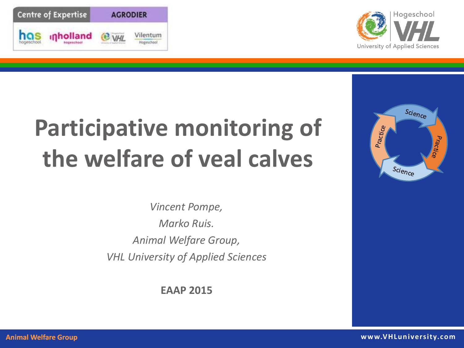



## **Participative monitoring of the welfare of veal calves**

*Vincent Pompe, Marko Ruis. Animal Welfare Group, VHL University of Applied Sciences*

**EAAP 2015**

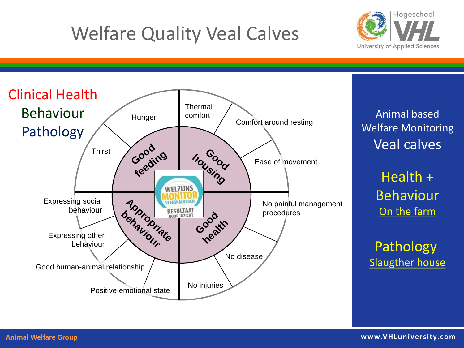## Welfare Quality Veal Calves





Animal based Welfare Monitoring Veal calves

> Health + Behaviour On the farm

Pathology Slaugther house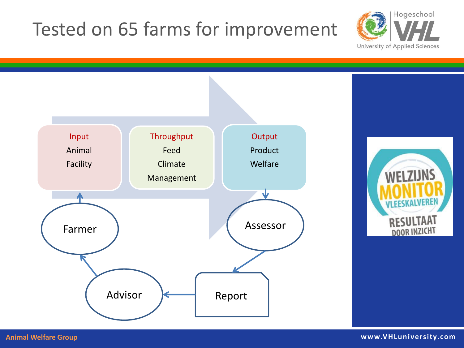#### Tested on 65 farms for improvement





**Animal Welfare Group www.VHLuniversity.com**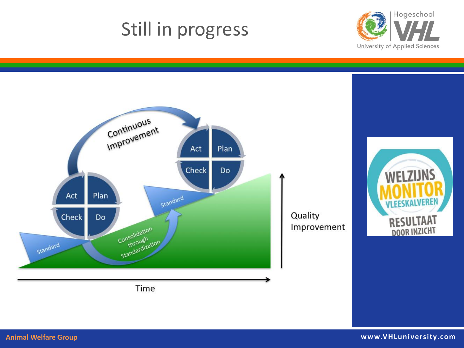#### Still in progress



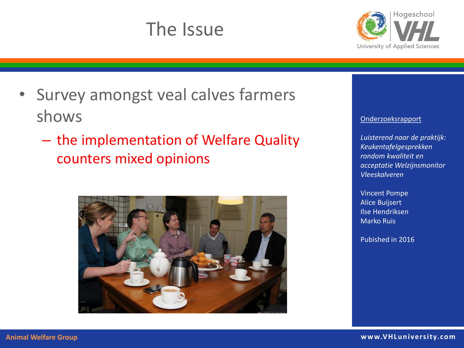#### The Issue



- Survey amongst veal calves farmers shows
	- the implementation of Welfare Quality counters mixed opinions



#### Onderzoeksrapport

*Luisterend naar de praktijk: Keukentafelgesprekken rondom kwaliteit en acceptatie Welzijnsmonitor Vleeskalveren* 

Vincent Pompe Alice Buijsert Ilse Hendriksen Marko Ruis

Pubished in 2016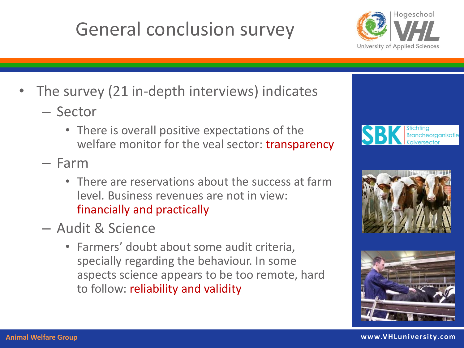#### General conclusion survey



- The survey (21 in-depth interviews) indicates
	- Sector
		- There is overall positive expectations of the welfare monitor for the veal sector: transparency
	- Farm
		- There are reservations about the success at farm level. Business revenues are not in view: financially and practically
	- Audit & Science
		- Farmers' doubt about some audit criteria, specially regarding the behaviour. In some aspects science appears to be too remote, hard to follow: reliability and validity





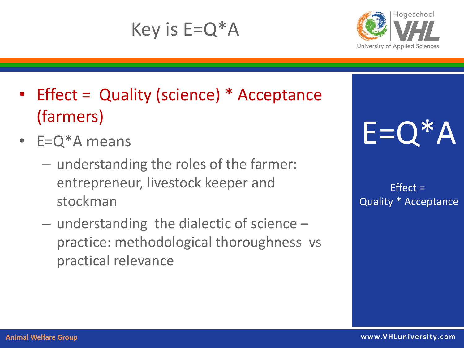#### Key is  $E=Q^*A$



- Effect = Quality (science) \* Acceptance (farmers)
- $\cdot$  E=Q<sup>\*</sup>A means
	- understanding the roles of the farmer: entrepreneur, livestock keeper and stockman
	- understanding the dialectic of science practice: methodological thoroughness vs practical relevance

# E=Q\*A

 $Effect =$ Quality \* Acceptance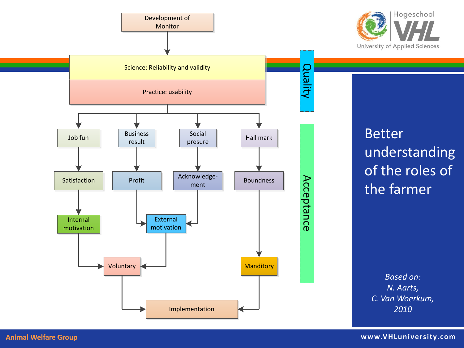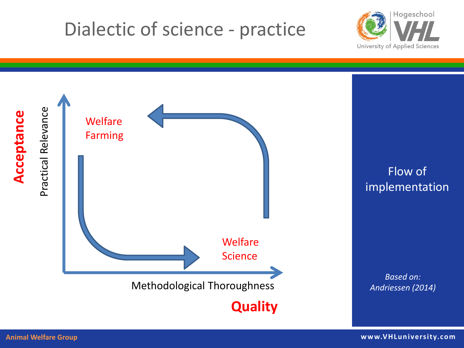#### Dialectic of science - practice



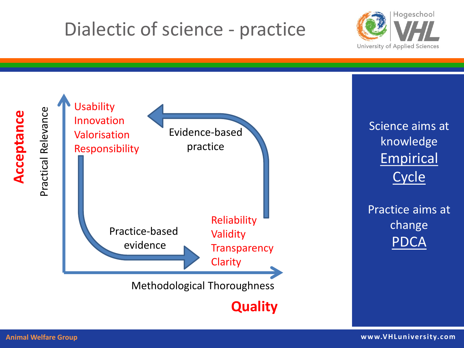#### Dialectic of science - practice



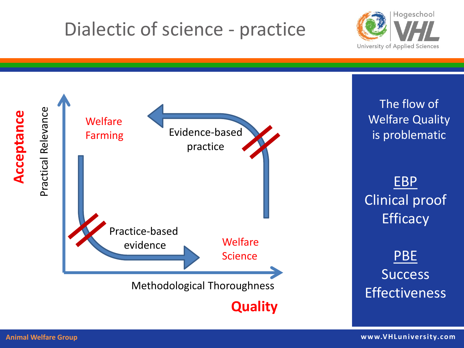#### Dialectic of science - practice



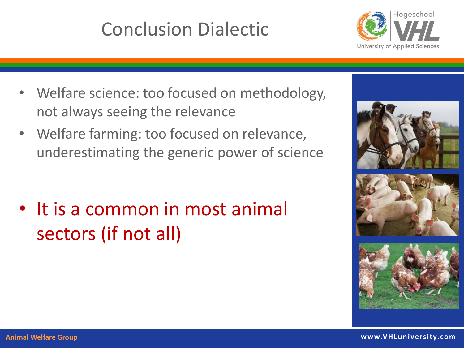#### Conclusion Dialectic



- Welfare science: too focused on methodology, not always seeing the relevance
- Welfare farming: too focused on relevance, underestimating the generic power of science

• It is a common in most animal sectors (if not all)

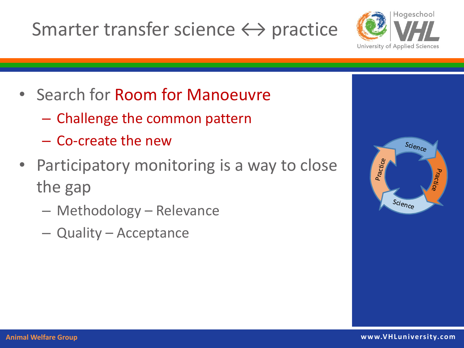#### Smarter transfer science  $\leftrightarrow$  practice



- Search for Room for Manoeuvre
	- Challenge the common pattern
	- Co-create the new
- Participatory monitoring is a way to close the gap
	- Methodology Relevance
	- Quality Acceptance

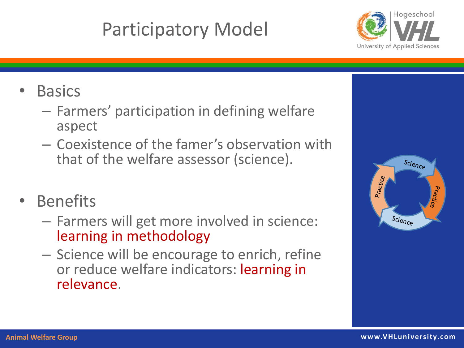## Participatory Model



- **Basics** 
	- Farmers' participation in defining welfare aspect
	- Coexistence of the famer's observation with that of the welfare assessor (science).
- **Benefits** 
	- Farmers will get more involved in science: learning in methodology
	- Science will be encourage to enrich, refine or reduce welfare indicators: learning in relevance.

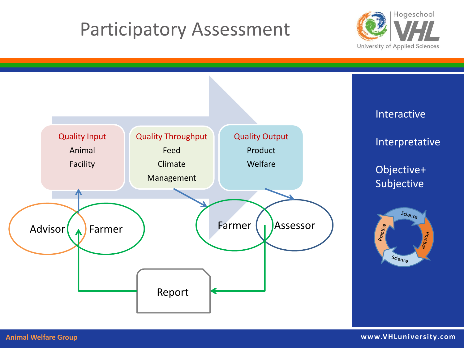#### Participatory Assessment



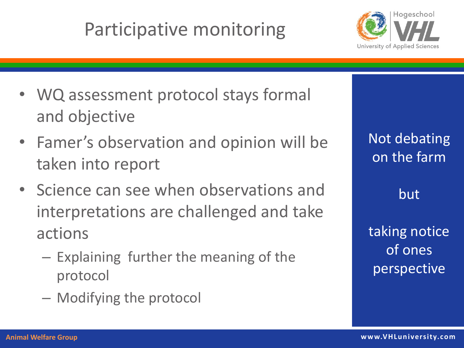#### Participative monitoring



- WQ assessment protocol stays formal and objective
- Famer's observation and opinion will be taken into report
- Science can see when observations and interpretations are challenged and take actions
	- Explaining further the meaning of the protocol
	- Modifying the protocol

| <b>Not debating</b> |
|---------------------|
| on the farm         |

but

taking notice of ones perspective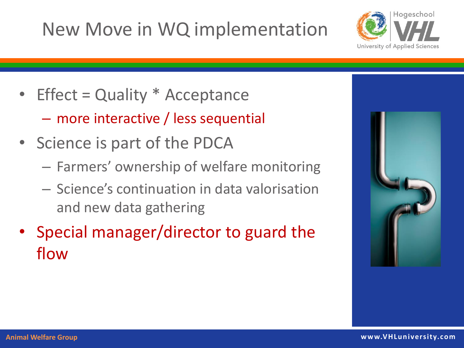#### New Move in WQ implementation



- Effect = Quality \* Acceptance
	- more interactive / less sequential
- Science is part of the PDCA
	- Farmers' ownership of welfare monitoring
	- Science's continuation in data valorisation and new data gathering
- Special manager/director to guard the flow

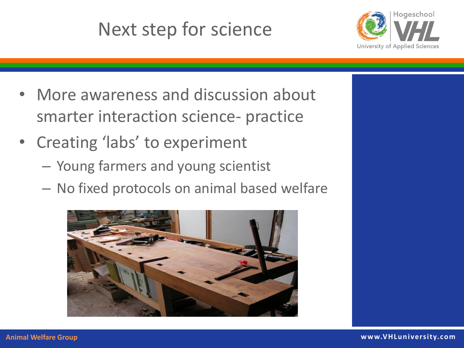## Next step for science



- More awareness and discussion about smarter interaction science- practice
- Creating 'labs' to experiment
	- Young farmers and young scientist
	- No fixed protocols on animal based welfare